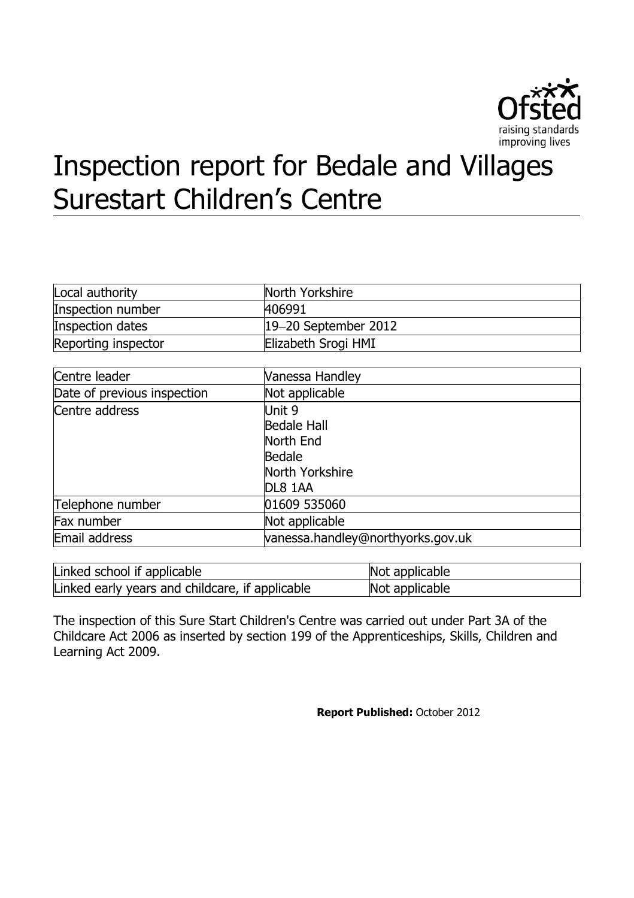

# Inspection report for Bedale and Villages Surestart Children's Centre

| Local authority     | North Yorkshire        |
|---------------------|------------------------|
| Inspection number   | 406991                 |
| Inspection dates    | $19-20$ September 2012 |
| Reporting inspector | Elizabeth Srogi HMI    |

| Centre leader               | Vanessa Handley                   |
|-----------------------------|-----------------------------------|
| Date of previous inspection | Not applicable                    |
| Centre address              | Unit 9                            |
|                             | <b>Bedale Hall</b>                |
|                             | North End                         |
|                             | <b>Bedale</b>                     |
|                             | North Yorkshire                   |
|                             | DL8 1AA                           |
| Telephone number            | 01609 535060                      |
| Fax number                  | Not applicable                    |
| Email address               | vanessa.handley@northyorks.gov.uk |
|                             |                                   |

| Linked school if applicable                     | Not applicable |
|-------------------------------------------------|----------------|
| Linked early years and childcare, if applicable | Not applicable |

The inspection of this Sure Start Children's Centre was carried out under Part 3A of the Childcare Act 2006 as inserted by section 199 of the Apprenticeships, Skills, Children and Learning Act 2009.

**Report Published:** October 2012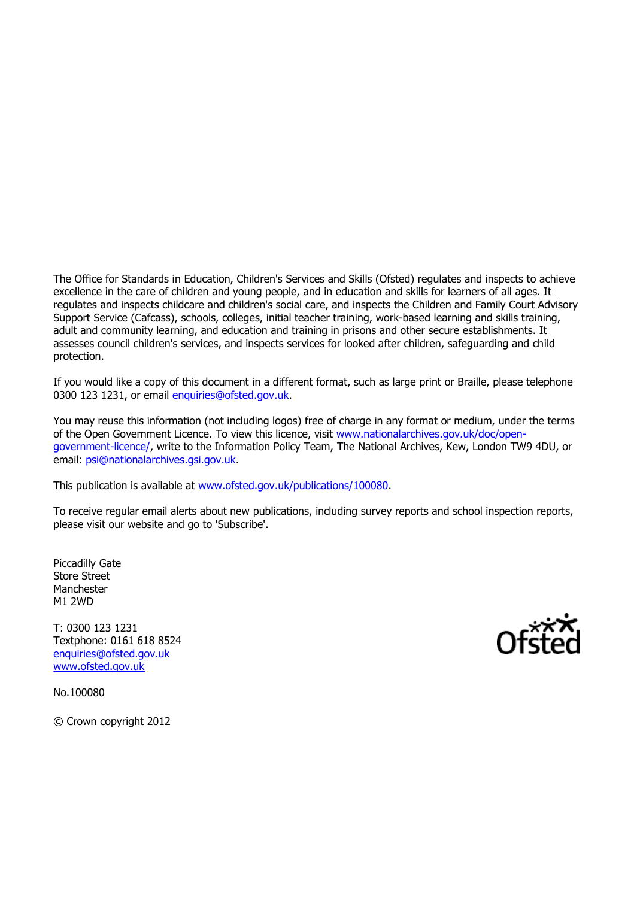The Office for Standards in Education, Children's Services and Skills (Ofsted) regulates and inspects to achieve excellence in the care of children and young people, and in education and skills for learners of all ages. It regulates and inspects childcare and children's social care, and inspects the Children and Family Court Advisory Support Service (Cafcass), schools, colleges, initial teacher training, work-based learning and skills training, adult and community learning, and education and training in prisons and other secure establishments. It assesses council children's services, and inspects services for looked after children, safeguarding and child protection.

If you would like a copy of this document in a different format, such as large print or Braille, please telephone 0300 123 1231, or email [enquiries@ofsted.gov.uk.](file:///C:/Users/srogie/AppData/Local/Microsoft/Windows/Temporary%20Internet%20Files/Content.IE5/41FU65D0/enquiries@ofsted.gov.uk)

You may reuse this information (not including logos) free of charge in any format or medium, under the terms of the Open Government Licence. To view this licence, visit [www.nationalarchives.gov.uk/doc/open](file:///C:/Users/srogie/AppData/Local/Microsoft/Windows/Temporary%20Internet%20Files/Content.IE5/41FU65D0/www.nationalarchives.gov.uk/doc/open-government-licence/)[government-licence/,](file:///C:/Users/srogie/AppData/Local/Microsoft/Windows/Temporary%20Internet%20Files/Content.IE5/41FU65D0/www.nationalarchives.gov.uk/doc/open-government-licence/) write to the Information Policy Team, The National Archives, Kew, London TW9 4DU, or email: [psi@nationalarchives.gsi.gov.uk.](file:///C:/Users/srogie/AppData/Local/Microsoft/Windows/Temporary%20Internet%20Files/Content.IE5/41FU65D0/psi@nationalarchives.gsi.gov.uk)

This publication is available at [www.ofsted.gov.uk/publications/100080.](file:///C:/Users/srogie/AppData/Local/Microsoft/Windows/Temporary%20Internet%20Files/Content.IE5/41FU65D0/www.ofsted.gov.uk/publications/100080)

To receive regular email alerts about new publications, including survey reports and school inspection reports, please visit our website and go to 'Subscribe'.

Piccadilly Gate Store Street Manchester M1 2WD

T: 0300 123 1231 Textphone: 0161 618 8524 [enquiries@ofsted.gov.uk](mailto:enquiries@ofsted.gov.uk) [www.ofsted.gov.uk](http://www.ofsted.gov.uk/)

No.100080

© Crown copyright 2012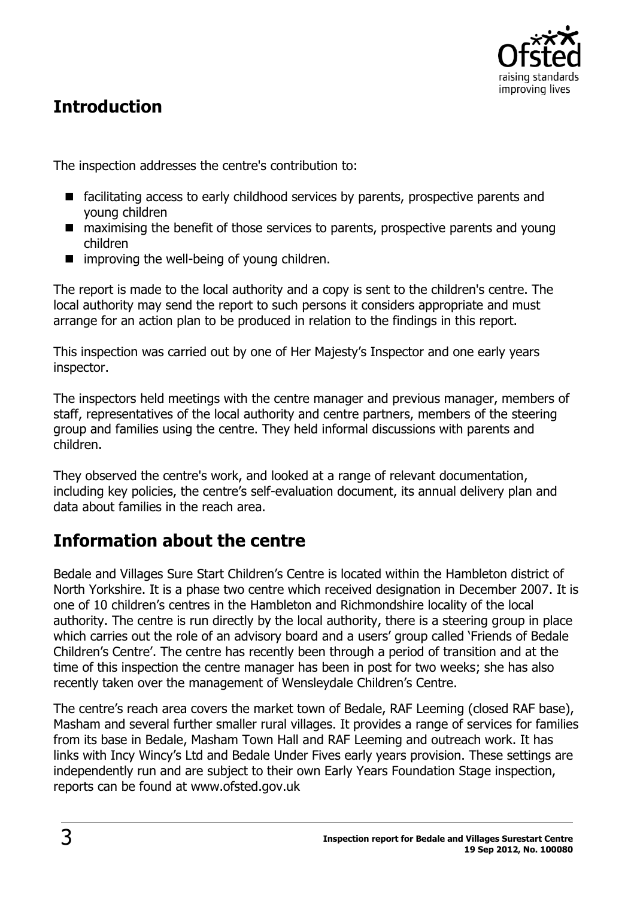

# **Introduction**

The inspection addresses the centre's contribution to:

- facilitating access to early childhood services by parents, prospective parents and young children
- maximising the benefit of those services to parents, prospective parents and young children
- $\blacksquare$  improving the well-being of young children.

The report is made to the local authority and a copy is sent to the children's centre. The local authority may send the report to such persons it considers appropriate and must arrange for an action plan to be produced in relation to the findings in this report.

This inspection was carried out by one of Her Majesty's Inspector and one early years inspector.

The inspectors held meetings with the centre manager and previous manager, members of staff, representatives of the local authority and centre partners, members of the steering group and families using the centre. They held informal discussions with parents and children.

They observed the centre's work, and looked at a range of relevant documentation, including key policies, the centre's self-evaluation document, its annual delivery plan and data about families in the reach area.

# **Information about the centre**

Bedale and Villages Sure Start Children's Centre is located within the Hambleton district of North Yorkshire. It is a phase two centre which received designation in December 2007. It is one of 10 children's centres in the Hambleton and Richmondshire locality of the local authority. The centre is run directly by the local authority, there is a steering group in place which carries out the role of an advisory board and a users' group called 'Friends of Bedale Children's Centre'. The centre has recently been through a period of transition and at the time of this inspection the centre manager has been in post for two weeks; she has also recently taken over the management of Wensleydale Children's Centre.

The centre's reach area covers the market town of Bedale, RAF Leeming (closed RAF base), Masham and several further smaller rural villages. It provides a range of services for families from its base in Bedale, Masham Town Hall and RAF Leeming and outreach work. It has links with Incy Wincy's Ltd and Bedale Under Fives early years provision. These settings are independently run and are subject to their own Early Years Foundation Stage inspection, reports can be found at www.ofsted.gov.uk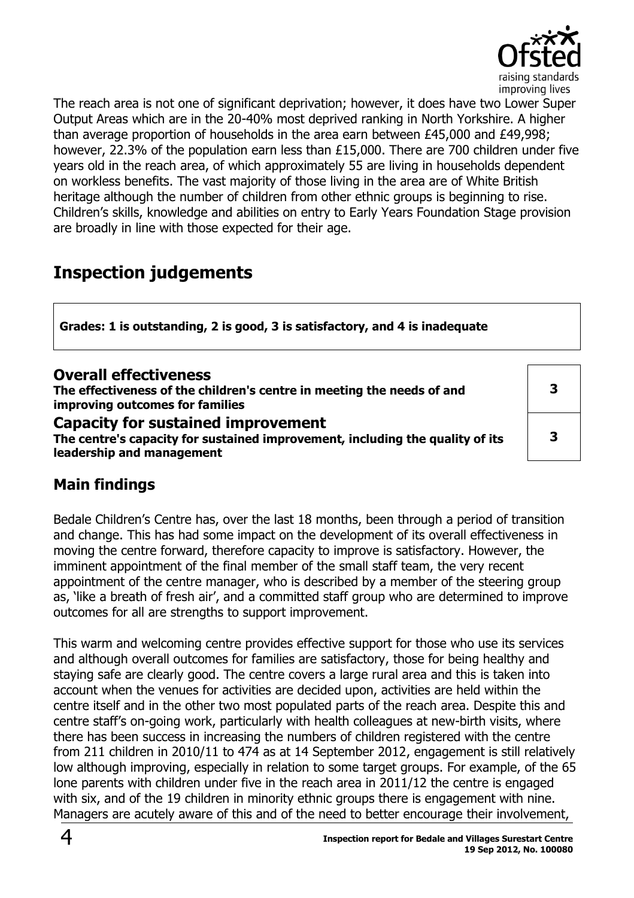

The reach area is not one of significant deprivation; however, it does have two Lower Super Output Areas which are in the 20-40% most deprived ranking in North Yorkshire. A higher than average proportion of households in the area earn between £45,000 and £49,998; however, 22.3% of the population earn less than £15,000. There are 700 children under five years old in the reach area, of which approximately 55 are living in households dependent on workless benefits. The vast majority of those living in the area are of White British heritage although the number of children from other ethnic groups is beginning to rise. Children's skills, knowledge and abilities on entry to Early Years Foundation Stage provision are broadly in line with those expected for their age.

# **Inspection judgements**

**Grades: 1 is outstanding, 2 is good, 3 is satisfactory, and 4 is inadequate**

| <b>Overall effectiveness</b><br>The effectiveness of the children's centre in meeting the needs of and<br>improving outcomes for families               |  |
|---------------------------------------------------------------------------------------------------------------------------------------------------------|--|
| <b>Capacity for sustained improvement</b><br>The centre's capacity for sustained improvement, including the quality of its<br>leadership and management |  |

# **Main findings**

Bedale Children's Centre has, over the last 18 months, been through a period of transition and change. This has had some impact on the development of its overall effectiveness in moving the centre forward, therefore capacity to improve is satisfactory. However, the imminent appointment of the final member of the small staff team, the very recent appointment of the centre manager, who is described by a member of the steering group as, 'like a breath of fresh air', and a committed staff group who are determined to improve outcomes for all are strengths to support improvement.

This warm and welcoming centre provides effective support for those who use its services and although overall outcomes for families are satisfactory, those for being healthy and staying safe are clearly good. The centre covers a large rural area and this is taken into account when the venues for activities are decided upon, activities are held within the centre itself and in the other two most populated parts of the reach area. Despite this and centre staff's on-going work, particularly with health colleagues at new-birth visits, where there has been success in increasing the numbers of children registered with the centre from 211 children in 2010/11 to 474 as at 14 September 2012, engagement is still relatively low although improving, especially in relation to some target groups. For example, of the 65 lone parents with children under five in the reach area in 2011/12 the centre is engaged with six, and of the 19 children in minority ethnic groups there is engagement with nine. Managers are acutely aware of this and of the need to better encourage their involvement,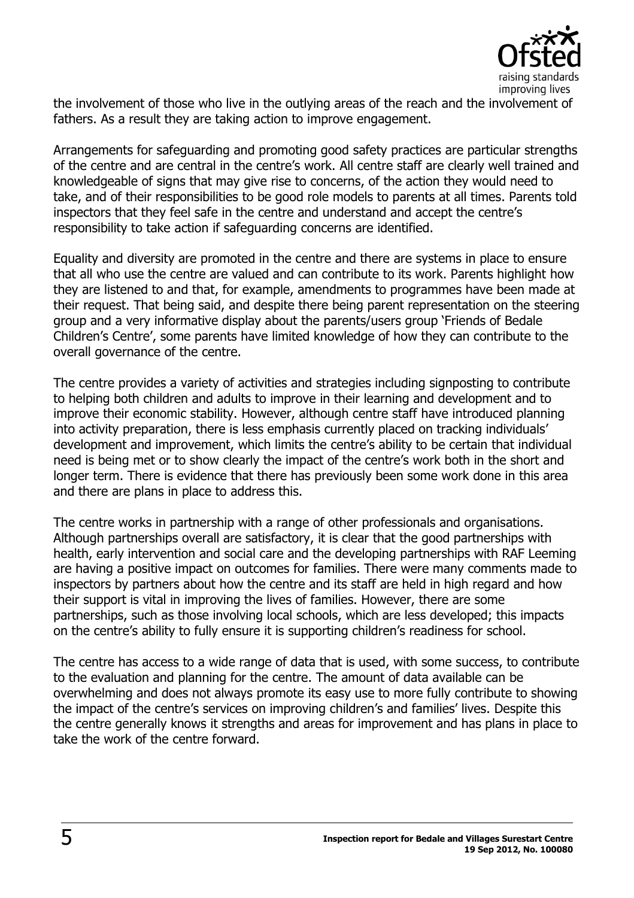

the involvement of those who live in the outlying areas of the reach and the involvement of fathers. As a result they are taking action to improve engagement.

Arrangements for safeguarding and promoting good safety practices are particular strengths of the centre and are central in the centre's work. All centre staff are clearly well trained and knowledgeable of signs that may give rise to concerns, of the action they would need to take, and of their responsibilities to be good role models to parents at all times. Parents told inspectors that they feel safe in the centre and understand and accept the centre's responsibility to take action if safeguarding concerns are identified.

Equality and diversity are promoted in the centre and there are systems in place to ensure that all who use the centre are valued and can contribute to its work. Parents highlight how they are listened to and that, for example, amendments to programmes have been made at their request. That being said, and despite there being parent representation on the steering group and a very informative display about the parents/users group 'Friends of Bedale Children's Centre', some parents have limited knowledge of how they can contribute to the overall governance of the centre.

The centre provides a variety of activities and strategies including signposting to contribute to helping both children and adults to improve in their learning and development and to improve their economic stability. However, although centre staff have introduced planning into activity preparation, there is less emphasis currently placed on tracking individuals' development and improvement, which limits the centre's ability to be certain that individual need is being met or to show clearly the impact of the centre's work both in the short and longer term. There is evidence that there has previously been some work done in this area and there are plans in place to address this.

The centre works in partnership with a range of other professionals and organisations. Although partnerships overall are satisfactory, it is clear that the good partnerships with health, early intervention and social care and the developing partnerships with RAF Leeming are having a positive impact on outcomes for families. There were many comments made to inspectors by partners about how the centre and its staff are held in high regard and how their support is vital in improving the lives of families. However, there are some partnerships, such as those involving local schools, which are less developed; this impacts on the centre's ability to fully ensure it is supporting children's readiness for school.

The centre has access to a wide range of data that is used, with some success, to contribute to the evaluation and planning for the centre. The amount of data available can be overwhelming and does not always promote its easy use to more fully contribute to showing the impact of the centre's services on improving children's and families' lives. Despite this the centre generally knows it strengths and areas for improvement and has plans in place to take the work of the centre forward.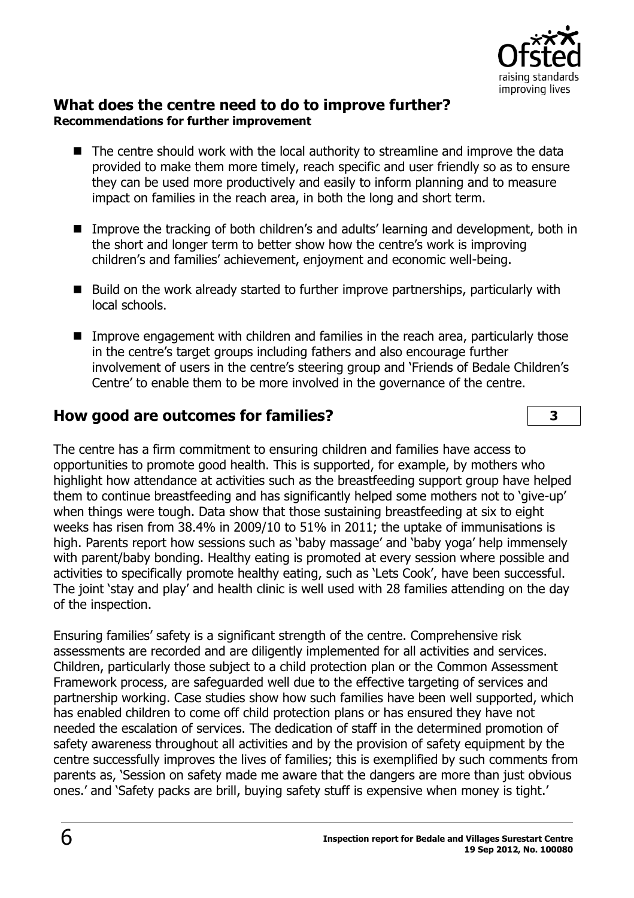

#### **What does the centre need to do to improve further? Recommendations for further improvement**

- The centre should work with the local authority to streamline and improve the data provided to make them more timely, reach specific and user friendly so as to ensure they can be used more productively and easily to inform planning and to measure impact on families in the reach area, in both the long and short term.
- Improve the tracking of both children's and adults' learning and development, both in the short and longer term to better show how the centre's work is improving children's and families' achievement, enjoyment and economic well-being.
- Build on the work already started to further improve partnerships, particularly with local schools.
- Improve engagement with children and families in the reach area, particularly those in the centre's target groups including fathers and also encourage further involvement of users in the centre's steering group and 'Friends of Bedale Children's Centre' to enable them to be more involved in the governance of the centre.

# **How good are outcomes for families? 3**

The centre has a firm commitment to ensuring children and families have access to opportunities to promote good health. This is supported, for example, by mothers who highlight how attendance at activities such as the breastfeeding support group have helped them to continue breastfeeding and has significantly helped some mothers not to 'give-up' when things were tough. Data show that those sustaining breastfeeding at six to eight weeks has risen from 38.4% in 2009/10 to 51% in 2011; the uptake of immunisations is high. Parents report how sessions such as 'baby massage' and 'baby yoga' help immensely with parent/baby bonding. Healthy eating is promoted at every session where possible and activities to specifically promote healthy eating, such as 'Lets Cook', have been successful. The joint 'stay and play' and health clinic is well used with 28 families attending on the day of the inspection.

Ensuring families' safety is a significant strength of the centre. Comprehensive risk assessments are recorded and are diligently implemented for all activities and services. Children, particularly those subject to a child protection plan or the Common Assessment Framework process, are safeguarded well due to the effective targeting of services and partnership working. Case studies show how such families have been well supported, which has enabled children to come off child protection plans or has ensured they have not needed the escalation of services. The dedication of staff in the determined promotion of safety awareness throughout all activities and by the provision of safety equipment by the centre successfully improves the lives of families; this is exemplified by such comments from parents as, 'Session on safety made me aware that the dangers are more than just obvious ones.' and 'Safety packs are brill, buying safety stuff is expensive when money is tight.'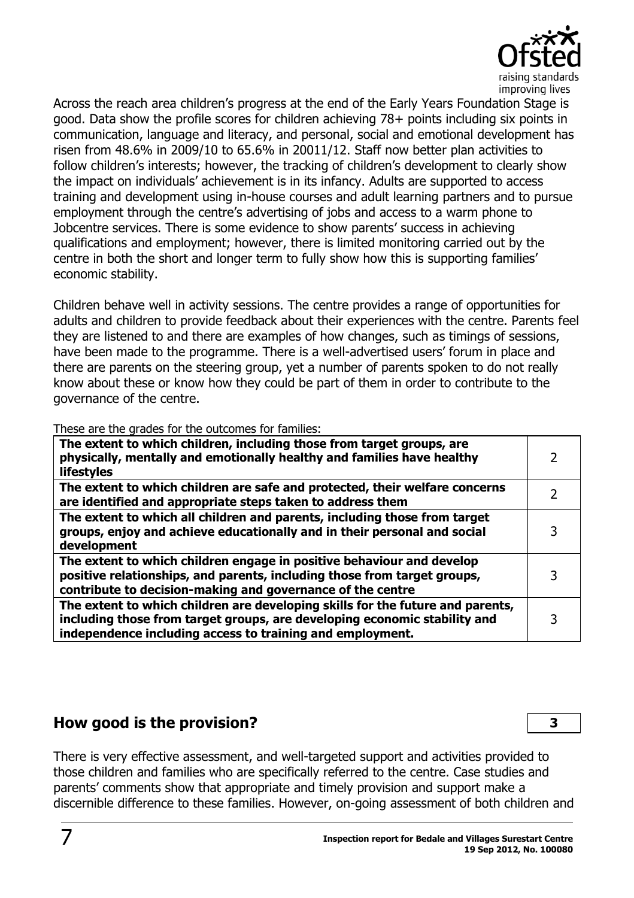

Across the reach area children's progress at the end of the Early Years Foundation Stage is good. Data show the profile scores for children achieving 78+ points including six points in communication, language and literacy, and personal, social and emotional development has risen from 48.6% in 2009/10 to 65.6% in 20011/12. Staff now better plan activities to follow children's interests; however, the tracking of children's development to clearly show the impact on individuals' achievement is in its infancy. Adults are supported to access training and development using in-house courses and adult learning partners and to pursue employment through the centre's advertising of jobs and access to a warm phone to Jobcentre services. There is some evidence to show parents' success in achieving qualifications and employment; however, there is limited monitoring carried out by the centre in both the short and longer term to fully show how this is supporting families' economic stability.

Children behave well in activity sessions. The centre provides a range of opportunities for adults and children to provide feedback about their experiences with the centre. Parents feel they are listened to and there are examples of how changes, such as timings of sessions, have been made to the programme. There is a well-advertised users' forum in place and there are parents on the steering group, yet a number of parents spoken to do not really know about these or know how they could be part of them in order to contribute to the governance of the centre.

These are the grades for the outcomes for families:

| The extent to which children, including those from target groups, are<br>physically, mentally and emotionally healthy and families have healthy<br><b>lifestyles</b>                                                     |  |
|--------------------------------------------------------------------------------------------------------------------------------------------------------------------------------------------------------------------------|--|
| The extent to which children are safe and protected, their welfare concerns<br>are identified and appropriate steps taken to address them                                                                                |  |
| The extent to which all children and parents, including those from target<br>groups, enjoy and achieve educationally and in their personal and social<br>development                                                     |  |
| The extent to which children engage in positive behaviour and develop<br>positive relationships, and parents, including those from target groups,<br>contribute to decision-making and governance of the centre          |  |
| The extent to which children are developing skills for the future and parents,<br>including those from target groups, are developing economic stability and<br>independence including access to training and employment. |  |

## **How good is the provision? 3**

There is very effective assessment, and well-targeted support and activities provided to those children and families who are specifically referred to the centre. Case studies and parents' comments show that appropriate and timely provision and support make a discernible difference to these families. However, on-going assessment of both children and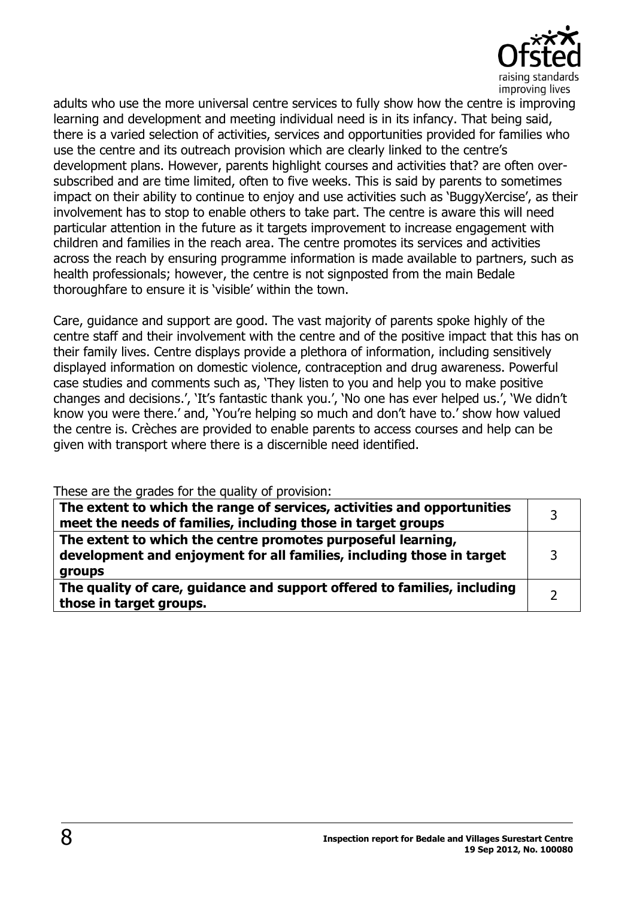

adults who use the more universal centre services to fully show how the centre is improving learning and development and meeting individual need is in its infancy. That being said, there is a varied selection of activities, services and opportunities provided for families who use the centre and its outreach provision which are clearly linked to the centre's development plans. However, parents highlight courses and activities that? are often oversubscribed and are time limited, often to five weeks. This is said by parents to sometimes impact on their ability to continue to enjoy and use activities such as 'BuggyXercise', as their involvement has to stop to enable others to take part. The centre is aware this will need particular attention in the future as it targets improvement to increase engagement with children and families in the reach area. The centre promotes its services and activities across the reach by ensuring programme information is made available to partners, such as health professionals; however, the centre is not signposted from the main Bedale thoroughfare to ensure it is 'visible' within the town.

Care, guidance and support are good. The vast majority of parents spoke highly of the centre staff and their involvement with the centre and of the positive impact that this has on their family lives. Centre displays provide a plethora of information, including sensitively displayed information on domestic violence, contraception and drug awareness. Powerful case studies and comments such as, 'They listen to you and help you to make positive changes and decisions.', 'It's fantastic thank you.', 'No one has ever helped us.', 'We didn't know you were there.' and, 'You're helping so much and don't have to.' show how valued the centre is. Crèches are provided to enable parents to access courses and help can be given with transport where there is a discernible need identified.

These are the grades for the quality of provision:

| The extent to which the range of services, activities and opportunities<br>meet the needs of families, including those in target groups         |  |
|-------------------------------------------------------------------------------------------------------------------------------------------------|--|
| The extent to which the centre promotes purposeful learning,<br>development and enjoyment for all families, including those in target<br>groups |  |
| The quality of care, guidance and support offered to families, including<br>those in target groups.                                             |  |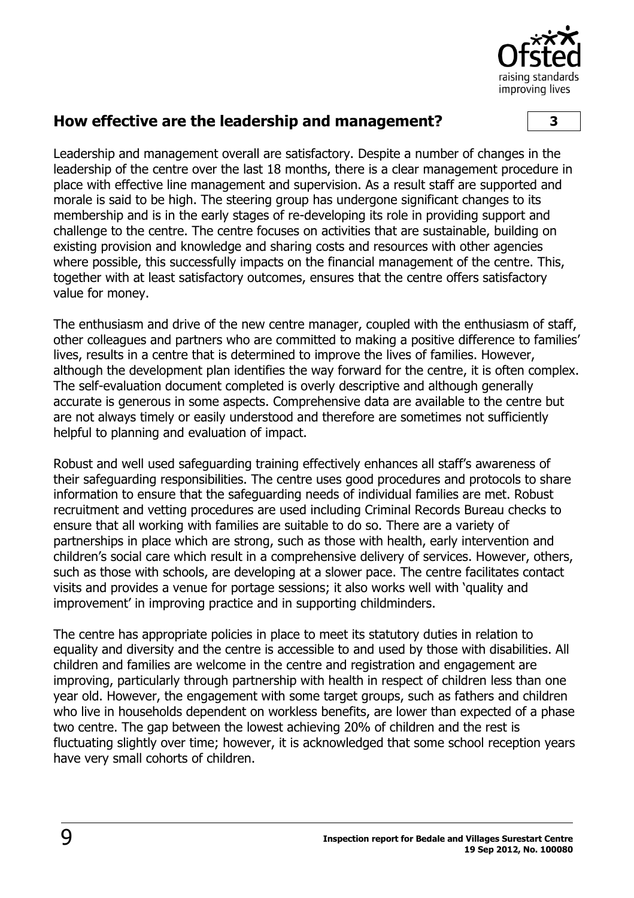

#### **How effective are the leadership and management? 3**

Leadership and management overall are satisfactory. Despite a number of changes in the leadership of the centre over the last 18 months, there is a clear management procedure in place with effective line management and supervision. As a result staff are supported and morale is said to be high. The steering group has undergone significant changes to its membership and is in the early stages of re-developing its role in providing support and challenge to the centre. The centre focuses on activities that are sustainable, building on existing provision and knowledge and sharing costs and resources with other agencies where possible, this successfully impacts on the financial management of the centre. This, together with at least satisfactory outcomes, ensures that the centre offers satisfactory value for money.

The enthusiasm and drive of the new centre manager, coupled with the enthusiasm of staff, other colleagues and partners who are committed to making a positive difference to families' lives, results in a centre that is determined to improve the lives of families. However, although the development plan identifies the way forward for the centre, it is often complex. The self-evaluation document completed is overly descriptive and although generally accurate is generous in some aspects. Comprehensive data are available to the centre but are not always timely or easily understood and therefore are sometimes not sufficiently helpful to planning and evaluation of impact.

Robust and well used safeguarding training effectively enhances all staff's awareness of their safeguarding responsibilities. The centre uses good procedures and protocols to share information to ensure that the safeguarding needs of individual families are met. Robust recruitment and vetting procedures are used including Criminal Records Bureau checks to ensure that all working with families are suitable to do so. There are a variety of partnerships in place which are strong, such as those with health, early intervention and children's social care which result in a comprehensive delivery of services. However, others, such as those with schools, are developing at a slower pace. The centre facilitates contact visits and provides a venue for portage sessions; it also works well with 'quality and improvement' in improving practice and in supporting childminders.

The centre has appropriate policies in place to meet its statutory duties in relation to equality and diversity and the centre is accessible to and used by those with disabilities. All children and families are welcome in the centre and registration and engagement are improving, particularly through partnership with health in respect of children less than one year old. However, the engagement with some target groups, such as fathers and children who live in households dependent on workless benefits, are lower than expected of a phase two centre. The gap between the lowest achieving 20% of children and the rest is fluctuating slightly over time; however, it is acknowledged that some school reception years have very small cohorts of children.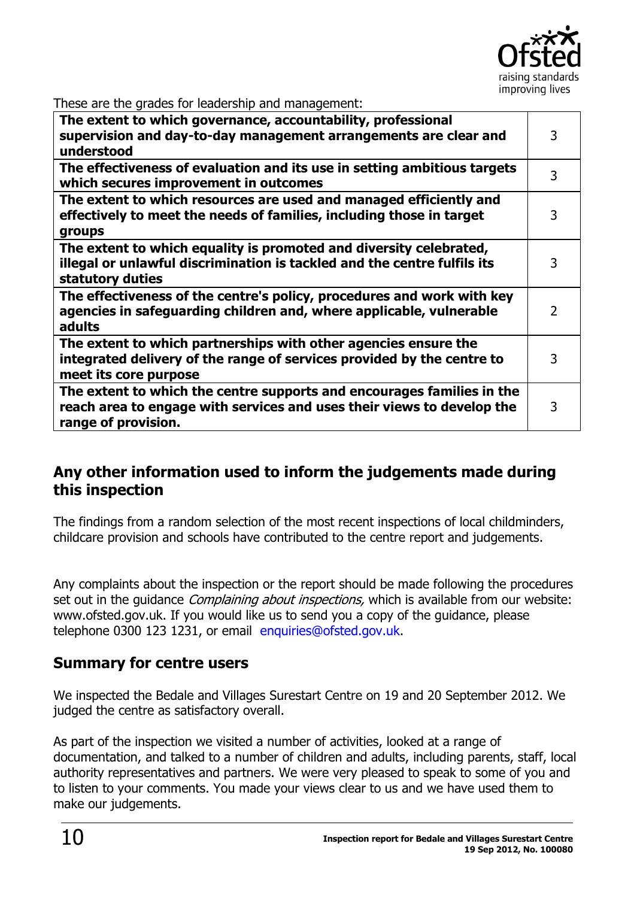

These are the grades for leadership and management:

| nese are are grades for readership and management.                                                                                                                      |               |
|-------------------------------------------------------------------------------------------------------------------------------------------------------------------------|---------------|
| The extent to which governance, accountability, professional<br>supervision and day-to-day management arrangements are clear and<br>understood                          | 3             |
| The effectiveness of evaluation and its use in setting ambitious targets<br>which secures improvement in outcomes                                                       | 3             |
| The extent to which resources are used and managed efficiently and<br>effectively to meet the needs of families, including those in target<br>groups                    | 3             |
| The extent to which equality is promoted and diversity celebrated,<br>illegal or unlawful discrimination is tackled and the centre fulfils its<br>statutory duties      | 3             |
| The effectiveness of the centre's policy, procedures and work with key<br>agencies in safeguarding children and, where applicable, vulnerable<br>adults                 | $\mathcal{L}$ |
| The extent to which partnerships with other agencies ensure the<br>integrated delivery of the range of services provided by the centre to<br>meet its core purpose      | 3             |
| The extent to which the centre supports and encourages families in the<br>reach area to engage with services and uses their views to develop the<br>range of provision. | 3             |

### **Any other information used to inform the judgements made during this inspection**

The findings from a random selection of the most recent inspections of local childminders, childcare provision and schools have contributed to the centre report and judgements.

Any complaints about the inspection or the report should be made following the procedures set out in the quidance *Complaining about inspections*, which is available from our website: www.ofsted.gov.uk. If you would like us to send you a copy of the guidance, please telephone 0300 123 1231, or email [enquiries@ofsted.gov.uk.](mailto:%20enquiries@ofsted.gov.uk)

## **Summary for centre users**

We inspected the Bedale and Villages Surestart Centre on 19 and 20 September 2012. We judged the centre as satisfactory overall.

As part of the inspection we visited a number of activities, looked at a range of documentation, and talked to a number of children and adults, including parents, staff, local authority representatives and partners. We were very pleased to speak to some of you and to listen to your comments. You made your views clear to us and we have used them to make our judgements.